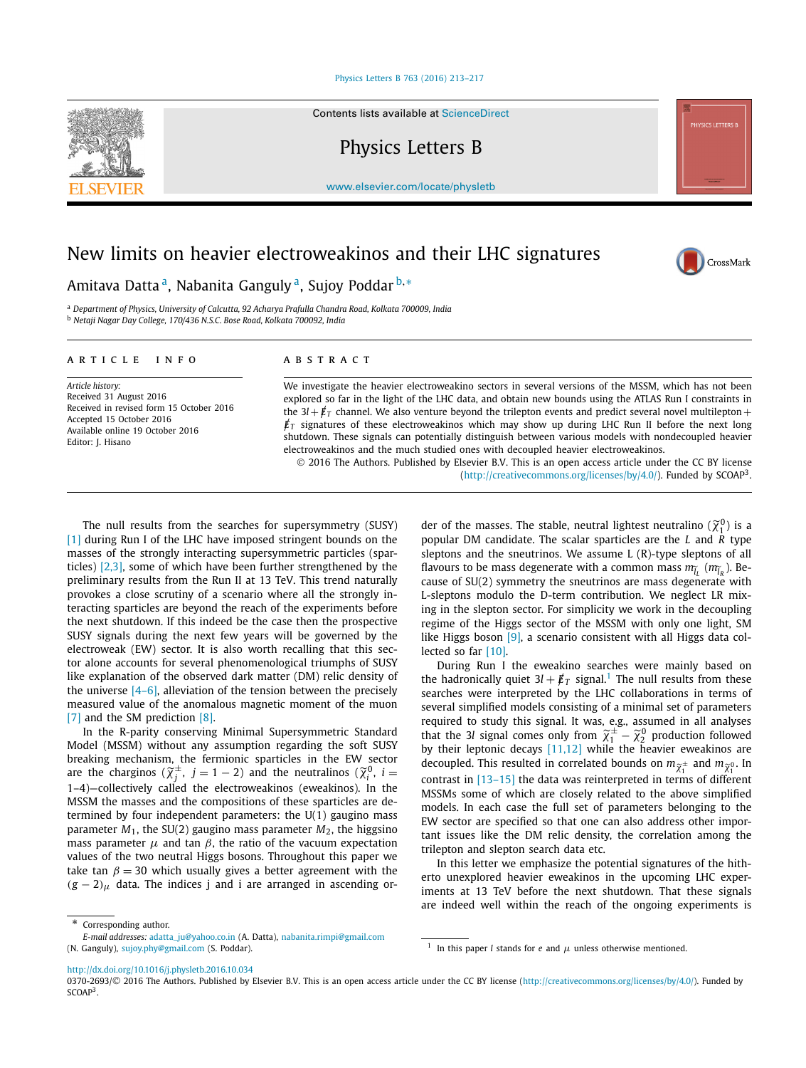# [Physics Letters B 763 \(2016\) 213–217](http://dx.doi.org/10.1016/j.physletb.2016.10.034)

Contents lists available at [ScienceDirect](http://www.ScienceDirect.com/)

Physics Letters B

[www.elsevier.com/locate/physletb](http://www.elsevier.com/locate/physletb)

# New limits on heavier electroweakinos and their LHC signatures

# Amitava Datta a, Nabanita Ganguly a, Sujoy Poddar <sup>b</sup>*,*<sup>∗</sup>

<sup>a</sup> *Department of Physics, University of Calcutta, 92 Acharya Prafulla Chandra Road, Kolkata 700009, India* <sup>b</sup> *Netaji Nagar Day College, 170/436 N.S.C. Bose Road, Kolkata 700092, India*

# A R T I C L E I N F O A B S T R A C T

*Article history:* Received 31 August 2016 Received in revised form 15 October 2016 Accepted 15 October 2016 Available online 19 October 2016 Editor: J. Hisano

We investigate the heavier electroweakino sectors in several versions of the MSSM, which has not been explored so far in the light of the LHC data, and obtain new bounds using the ATLAS Run I constraints in the  $3l + \cancel{E}_T$  channel. We also venture beyond the trilepton events and predict several novel multilepton +  $\not\!\!E_T$  signatures of these electroweakinos which may show up during LHC Run II before the next long shutdown. These signals can potentially distinguish between various models with nondecoupled heavier electroweakinos and the much studied ones with decoupled heavier electroweakinos. © 2016 The Authors. Published by Elsevier B.V. This is an open access article under the CC BY license

[\(http://creativecommons.org/licenses/by/4.0/\)](http://creativecommons.org/licenses/by/4.0/). Funded by SCOAP3.

The null results from the searches for supersymmetry (SUSY) [\[1\]](#page-4-0) during Run I of the LHC have imposed stringent bounds on the masses of the strongly interacting supersymmetric particles (sparticles) [\[2,3\],](#page-4-0) some of which have been further strengthened by the preliminary results from the Run II at 13 TeV. This trend naturally provokes a close scrutiny of a scenario where all the strongly interacting sparticles are beyond the reach of the experiments before the next shutdown. If this indeed be the case then the prospective SUSY signals during the next few years will be governed by the electroweak (EW) sector. It is also worth recalling that this sector alone accounts for several phenomenological triumphs of SUSY like explanation of the observed dark matter (DM) relic density of the universe  $[4-6]$ , alleviation of the tension between the precisely measured value of the anomalous magnetic moment of the muon [\[7\]](#page-4-0) and the SM prediction [\[8\].](#page-4-0)

In the R-parity conserving Minimal Supersymmetric Standard Model (MSSM) without any assumption regarding the soft SUSY breaking mechanism, the fermionic sparticles in the EW sector In the R-parity conserving Minimal Supersymmetric Standard Model (MSSM) without any assumption regarding the soft SUSY breaking mechanism, the fermionic sparticles in the EW sector are the charginos ( $\widetilde{\chi}^{\pm}_{j}$ , *j* 1–4)—collectively called the electroweakinos (eweakinos). In the MSSM the masses and the compositions of these sparticles are determined by four independent parameters: the U(1) gaugino mass parameter  $M_1$ , the SU(2) gaugino mass parameter  $M_2$ , the higgsino mass parameter  $\mu$  and tan  $\beta$ , the ratio of the vacuum expectation values of the two neutral Higgs bosons. Throughout this paper we take tan  $\beta = 30$  which usually gives a better agreement with the  $(g - 2)$ <sub>μ</sub> data. The indices j and i are arranged in ascending or-

( $\mu$ ( $\mu$ <sub>2</sub>)/creativecommons.org/icenses/ $\mu$ y/4.0/). Funded by SCOAP-1<br>der of the masses. The stable, neutral lightest neutralino  $(\tilde{\chi}_1^0)$  is a popular DM candidate. The scalar sparticles are the *L* and *R* type sleptons and the sneutrinos. We assume L (R)-type sleptons of all popular DM candidate. The scalar sparticles are the *L* and *R* type sleptons and the sneutrinos. We assume *L* (*R*)-type sleptons of all flavours to be mass degenerate with a common mass  $m_{\tilde{l}_L}$  ( $m_{\tilde{l}_R}$ ). Because of SU(2) symmetry the sneutrinos are mass degenerate with L-sleptons modulo the D-term contribution. We neglect LR mixing in the slepton sector. For simplicity we work in the decoupling regime of the Higgs sector of the MSSM with only one light, SM like Higgs boson [\[9\],](#page-4-0) a scenario consistent with all Higgs data collected so far [\[10\].](#page-4-0)

During Run I the eweakino searches were mainly based on the hadronically quiet  $3l + \cancel{E}_T$  signal.<sup>1</sup> The null results from these searches were interpreted by the LHC collaborations in terms of several simplified models consisting of a minimal set of parameters required to study this signal. It was, e.g., assumed in all analyses searches were interpreted by the LHC collaborations in terms of several simplified models consisting of a minimal set of parameters required to study this signal. It was, e.g., assumed in all analyses that the 3*l* signal by their leptonic decays [\[11,12\]](#page-4-0) while the heavier eweakinos are  $\mu_\pm$  and  $m_{\widetilde\gamma^0}$ . In  $\frac{\lambda_1}{\lambda_2}$  contrast in [\[13–15\]](#page-4-0) the data was reinterpreted in terms of different MSSMs some of which are closely related to the above simplified models. In each case the full set of parameters belonging to the EW sector are specified so that one can also address other important issues like the DM relic density, the correlation among the trilepton and slepton search data etc.

In this letter we emphasize the potential signatures of the hitherto unexplored heavier eweakinos in the upcoming LHC experiments at 13 TeV before the next shutdown. That these signals are indeed well within the reach of the ongoing experiments is

<sup>1</sup> In this paper *l* stands for *e* and  $\mu$  unless otherwise mentioned.

<http://dx.doi.org/10.1016/j.physletb.2016.10.034>







Corresponding author.

*E-mail addresses:* [adatta\\_ju@yahoo.co.in](mailto:adatta_ju@yahoo.co.in) (A. Datta), [nabanita.rimpi@gmail.com](mailto:nabanita.rimpi@gmail.com) (N. Ganguly), [sujoy.phy@gmail.com](mailto:sujoy.phy@gmail.com) (S. Poddar).

<sup>0370-2693/© 2016</sup> The Authors. Published by Elsevier B.V. This is an open access article under the CC BY license [\(http://creativecommons.org/licenses/by/4.0/\)](http://creativecommons.org/licenses/by/4.0/). Funded by SCOAP<sup>3</sup>.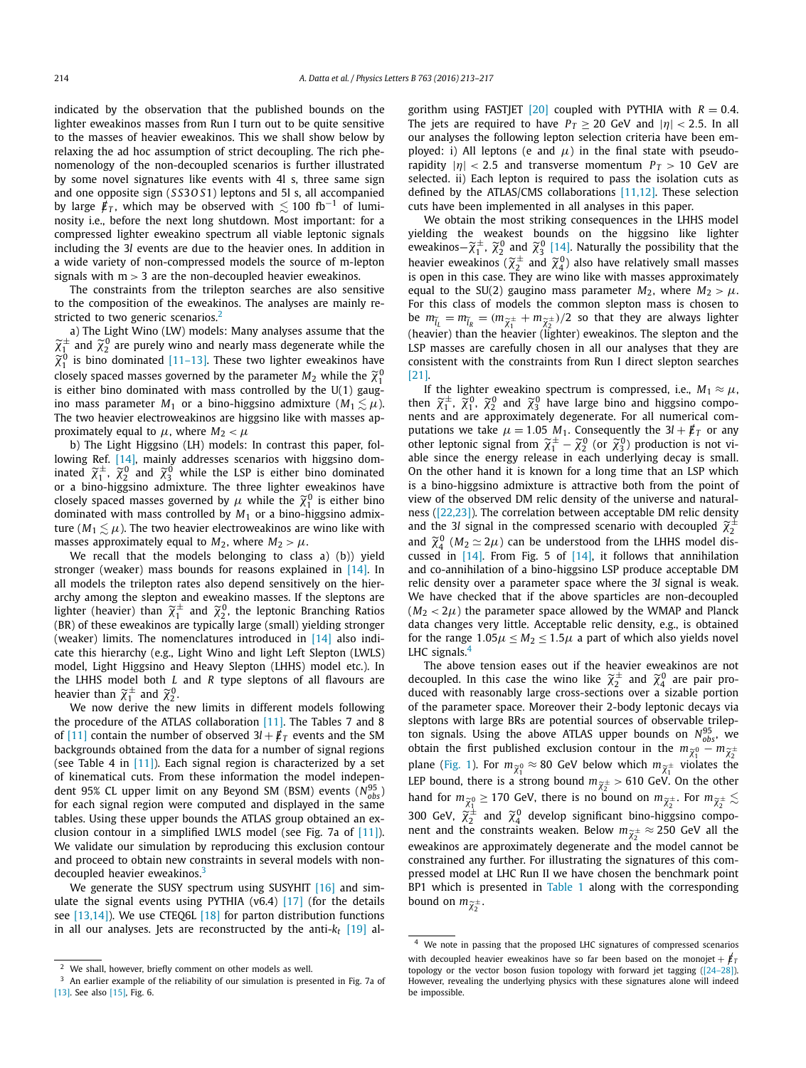indicated by the observation that the published bounds on the lighter eweakinos masses from Run I turn out to be quite sensitive to the masses of heavier eweakinos. This we shall show below by relaxing the ad hoc assumption of strict decoupling. The rich phenomenology of the non-decoupled scenarios is further illustrated by some novel signatures like events with 4l s, three same sign and one opposite sign (*S S*3*O S*1) leptons and 5l s, all accompanied by large  $/\,\llap/_T$ , which may be observed with  $\lesssim$  100 fb $^{-1}$  of luminosity i.e., before the next long shutdown. Most important: for a compressed lighter eweakino spectrum all viable leptonic signals including the 3*l* events are due to the heavier ones. In addition in a wide variety of non-compressed models the source of m-lepton signals with m *>* 3 are the non-decoupled heavier eweakinos.

The constraints from the trilepton searches are also sensitive to the composition of the eweakinos. The analyses are mainly restricted to two generic scenarios.<sup>2</sup> *χ*-The composition of the eweakinos. The analyses are mainly re-<br> *x*-<br> *x*) The Light Wino (LW) models: Many analyses assume that the<br>  $x_1^{\pm}$  and  $\tilde{\chi}_2^0$  are purely wino and nearly mass degenerate while the

a) The Light Wino (LW) models: Many analyses assume that the st<br>*ζ*-<br>*χ*- $\frac{0}{1}$  is bino dominated [\[11–13\].](#page-4-0) These two lighter eweakinos have a) The Light Wino (LW) models: Many analyses assume that th  $\tilde{\chi}_1^{\pm}$  and  $\tilde{\chi}_2^0$  are purely wino and nearly mass degenerate while th  $\tilde{\chi}_1^0$  is bino dominated [11–13]. These two lighter eweakinos hav closely 0 1 is either bino dominated with mass controlled by the  $U(1)$  gaugino mass parameter  $M_1$  or a bino-higgsino admixture ( $M_1 \lesssim \mu$ ). The two heavier electroweakinos are higgsino like with masses approximately equal to  $\mu$ , where  $M_2 < \mu$ 

b) The Light Higgsino (LH) models: In contrast this paper, fol-lowing Ref. [\[14\],](#page-4-0) mainly addresses scenarios with higgsino domproximate<br>b) The<br>lowing R<br>inated  $\widetilde{\chi}$ ely equal to  $\mu$ , where  $M_2 < \mu$ <br>
e Light Higgsino (LH) models: In contrast this paper, fol-<br>
ef. [14], mainly addresses scenarios with higgsino dom-<br>  $\frac{1}{1}$ ,  $\widetilde{\chi}_2^0$  and  $\widetilde{\chi}_3^0$  while the LSP is either bino or a bino-higgsino admixture. The three lighter eweakinos have lowing Ref. [14], mainly addresses scenarios with inated  $\tilde{\chi}_1^{\pm}$ ,  $\tilde{\chi}_2^0$  and  $\tilde{\chi}_3^0$  while the *LSP* is either *l* or a bino-higgsino admixture. The three lighter *e* closely spaced masses governed by  $\mu$   $\frac{1}{1}$  is either bino dominated with mass controlled by *M*<sup>1</sup> or a bino-higgsino admixture ( $M_1 \lesssim \mu$ ). The two heavier electroweakinos are wino like with masses approximately equal to  $M_2$ , where  $M_2 > \mu$ .

We recall that the models belonging to class a) (b)) yield stronger (weaker) mass bounds for reasons explained in [\[14\].](#page-4-0) In all models the trilepton rates also depend sensitively on the hierarchy among the slepton and eweakino masses. If the sleptons are stronger (weaker) mass bounds for reasons explained in [14]. In all models the trilepton rates also depend sensitively on the hierarchy among the slepton and eweakino masses. If the sleptons are lighter (heavier) than  $\til$ (BR) of these eweakinos are typically large (small) yielding stronger (weaker) limits. The nomenclatures introduced in [\[14\]](#page-4-0) also indicate this hierarchy (e.g., Light Wino and light Left Slepton (LWLS) model, Light Higgsino and Heavy Slepton (LHHS) model etc.). In the LHHS model both *L* and *R* type sleptons of all flavours are cate this hierarchy (e.g., l<br>model, Light Higgsino ar<br>the LHHS model both *L*<br>heavier than  $\tilde{\chi}_1^{\pm}$  and  $\tilde{\chi}_2^0$ .

We now derive the new limits in different models following the procedure of the ATLAS collaboration [\[11\].](#page-4-0) The Tables 7 and 8 of [\[11\]](#page-4-0) contain the number of observed  $3l + \cancel{E}_T$  events and the SM backgrounds obtained from the data for a number of signal regions (see Table 4 in  $[11]$ ). Each signal region is characterized by a set of kinematical cuts. From these information the model independent 95% CL upper limit on any Beyond SM (BSM) events ( $N_{obs}^{95}$ ) for each signal region were computed and displayed in the same tables. Using these upper bounds the ATLAS group obtained an exclusion contour in a simplified LWLS model (see Fig. 7a of [\[11\]\)](#page-4-0). We validate our simulation by reproducing this exclusion contour and proceed to obtain new constraints in several models with nondecoupled heavier eweakinos.<sup>3</sup>

We generate the SUSY spectrum using SUSYHIT [\[16\]](#page-4-0) and simulate the signal events using PYTHIA (v6.4) [\[17\]](#page-4-0) (for the details see [\[13,14\]\)](#page-4-0). We use CTEQ6L [\[18\]](#page-4-0) for parton distribution functions in all our analyses. Jets are reconstructed by the anti- $k_t$  [\[19\]](#page-4-0) algorithm using FASTJET  $[20]$  coupled with PYTHIA with  $R = 0.4$ . The jets are required to have  $P_T \geq 20$  GeV and  $|\eta| < 2.5$ . In all our analyses the following lepton selection criteria have been employed: i) All leptons (e and  $\mu$ ) in the final state with pseudorapidity  $|\eta|$  < 2.5 and transverse momentum  $P_T > 10$  GeV are selected. ii) Each lepton is required to pass the isolation cuts as defined by the ATLAS/CMS collaborations [\[11,12\].](#page-4-0) These selection cuts have been implemented in all analyses in this paper.

We obtain the most striking consequences in the LHHS model yielding the weakest bounds on the higgsino like lighter cuts have been implemented in all analyses in this paper.<br>
We obtain the most striking consequences in the LHHS model<br>
yielding the weakest bounds on the higgsino like lighter<br>
eweakinos— $\tilde{\chi}_1^{\pm}$ ,  $\tilde{\chi}_2^0$  and  $\til$ We obtain the most strikin<br>yielding the weakest bound<br>eweakinos –  $\tilde{\chi}_1^{\pm}$ ,  $\tilde{\chi}_2^0$  and  $\tilde{\chi}_3^0$  [1]<br>heavier eweakinos ( $\tilde{\chi}_2^{\pm}$  and  $\tilde{\chi}_1^0$  $_2^\pm$  and  $\widetilde{\chi}^0_4$ ) also have relatively small masses is open in this case. They are wino like with masses approximately equal to the SU(2) gaugino mass parameter *M*<sub>2</sub>, where *M*<sub>2</sub> > *μ*.<br>For this class of models the common slepton mass is chosen to<br>be  $m_{\tilde{t}_1} = m_{\tilde{t}_2} = (m_{\tilde{\gamma}^{\pm}} + m_{\tilde{\gamma}^{\pm}})/2$  so that they are always lighter For this class of models the common slepton mass is chosen to to the SU(2) gaugino mass parameter  $M_2$ , where  $M_2 > \mu$ .<br>his class of models the common slepton mass is chosen to<br> $\tilde{\mu}_L = m_{\tilde{l}_R} = (m_{\tilde{\chi}_1^{\pm}} + m_{\tilde{\chi}_2^{\pm}})/2$  so that they are always lighter (heavier) than the heavier (lighter) eweakinos. The slepton and the LSP masses are carefully chosen in all our analyses that they are consistent with the constraints from Run I direct slepton searches [\[21\].](#page-4-0)

If the lighter eweakino spectrum is compressed, i.e.,  $M_1 \approx \mu$ , **Example 2** consistent with the constraints from Run I direct slepton searches [21].<br>
If the lighter eweakino spectrum is compressed, i.e.,  $M_1 \approx \mu$ ,<br>
then  $\tilde{\chi}_1^{\pm}$ ,  $\tilde{\chi}_1^0$ ,  $\tilde{\chi}_2^0$  and  $\tilde{\chi}_3^0$  have la then  $\tilde{\chi}_1^{\pm}$ ,  $\tilde{\chi}_1^0$ ,  $\tilde{\chi}_2^0$  and  $\tilde{\chi}_3^0$  have large bino and higgsino components and are approximately degenerate. For all numerical computations we take  $\mu = 1.05$  *M*<sub>1</sub>. Consequently the  $3l + \cancel{\textbf{F$ then  $\tilde{\chi}_1^{\pm}$ ,  $\tilde{\chi}_1^0$ ,  $\tilde{\chi}_2^0$  and  $\tilde{\chi}_3^0$  h<br>nents and are approximately<br>putations we take  $\mu = 1.05$ <br>other leptonic signal from  $\tilde{\chi}$ able since the energy release in each underlying decay is small. On the other hand it is known for a long time that an LSP which is a bino-higgsino admixture is attractive both from the point of view of the observed DM relic density of the universe and naturalness [\(\[22,23\]\)](#page-4-0). The correlation between acceptable DM relic density is a bino-higgsino admixture is attractive both from the point of view of the observed DM relic density of the universe and natura ness ([22,23]). The correlation between acceptable DM relic densitiand the 3*l* signal in ± 2 view c<br>ness ([<br>and th<br>and  $\widetilde{\chi}$  $^{0}_{4}$  ( $M_2 \simeq 2\mu$ ) can be understood from the LHHS model discussed in [\[14\].](#page-4-0) From Fig. 5 of [\[14\],](#page-4-0) it follows that annihilation and co-annihilation of a bino-higgsino LSP produce acceptable DM relic density over a parameter space where the 3*l* signal is weak. We have checked that if the above sparticles are non-decoupled  $(M_2 < 2\mu)$  the parameter space allowed by the WMAP and Planck data changes very little. Acceptable relic density, e.g., is obtained for the range  $1.05\mu \leq M_2 \leq 1.5\mu$  a part of which also yields novel LHC signals.<sup>4</sup>

The above tension eases out if the heavier eweakinos are not decoupled. In this case the wino like  $\tilde{\chi}_2^{\pm}$  and  $\tilde{\chi}_4^0$  are pair pro-<br>duced with reasonably large cross-sections over a sizable portion<br>decoupled. In this case the wino like  $\tilde{\chi}_2^{\pm}$  and  $\tilde{\chi}_4^0$  are of the parameter space. Moreover their 2-body leptonic decays via sleptons with large BRs are potential sources of observable trilepton signals. Using the above ATLAS upper bounds on  $N_{obs}^{95}$ , we sleptons with large BRs are potential sources of observable trilepton signals. Using the above ATLAS upper bounds on  $N_{obs}^{95}$ , we obtain the first published exclusion contour in the  $m_{\tilde{\chi}_1^{0}} - m_{\tilde{\chi}_2^{+}}$ ton signals. Using the above ATLAS upper bounds<br>obtain the first published exclusion contour in th<br>plane [\(Fig. 1\)](#page-2-0). For  $m_{\tilde{\chi}_1^0} \approx 80$  GeV below which  $m_{\tilde{\chi}}$  $\sigma_{\rm 0}\approx$  80 GeV below which  $m_{\widetilde{\chi}^{\pm}}$  violates the 1 1 obtain the first published exclusion contour in the  $m_{\tilde{\chi}_{1}^{0}} - m_{\tilde{\chi}_{2}^{\pm}}$ <br>plane (Fig. 1). For  $m_{\tilde{\chi}_{1}^{0}} \approx 80$  GeV below which  $m_{\tilde{\chi}_{1}^{\pm}}$  violates the<br>LEP bound, there is a strong bound  $m_{\tilde{\chi}_{2}^{\pm}} >$ plane (Fig. 1). For  $m_{\tilde{\chi}_1^0} \approx 80$  GeV below which  $m_{\tilde{\chi}_1^{\pm}}$  violates the<br>LEP bound, there is a strong bound  $m_{\tilde{\chi}_2^{\pm}} > 610$  GeV. On the other<br>hand for  $m_{\tilde{\chi}_1^0} \ge 170$  GeV, there is no bound on  $m_{\tilde$ LEP bound, there is a<br>
hand for  $m_{\tilde{\chi}_1^0} \ge 170$  (<br>
300 GeV,  $\tilde{\chi}_2^{\pm}$  and  $\tilde{\chi}_2^{\pm}$  $_{2}^{\pm}$  and  $\widetilde{\chi}_{4}^{0}$  develop significant bino-higgsino compoment and tor  $m_{\tilde{\chi}_1^0} \ge 1/0$  GeV, there is no bound on  $m_{\tilde{\chi}_2^{\pm}}$ , For  $m_{\tilde{\chi}_2^{\pm}} \ge 300$  GeV,  $\tilde{\chi}_2^{\pm}$  and  $\tilde{\chi}_4^0$  develop significant bino-higgsino component and the constraints weaken. Below  $m_{\til$ eweakinos are approximately degenerate and the model cannot be constrained any further. For illustrating the signatures of this compressed model at LHC Run II we have chosen the benchmark point BP1 which is presented in [Table 1](#page-2-0) along with the corresponding pressed mode<br>BP1 which is<br>bound on *m*<sub>*χ*</sub>  $\frac{1}{2}$ .

<sup>2</sup> We shall, however, briefly comment on other models as well.

<sup>3</sup> An earlier example of the reliability of our simulation is presented in Fig. 7a of [\[13\].](#page-4-0) See also [15]. Fig. 6.

<sup>4</sup> We note in passing that the proposed LHC signatures of compressed scenarios with decoupled heavier eweakinos have so far been based on the monojet  $+ \not{E}_T$ topology or the vector boson fusion topology with forward jet tagging  $([24-28])$ . However, revealing the underlying physics with these signatures alone will indeed be impossible.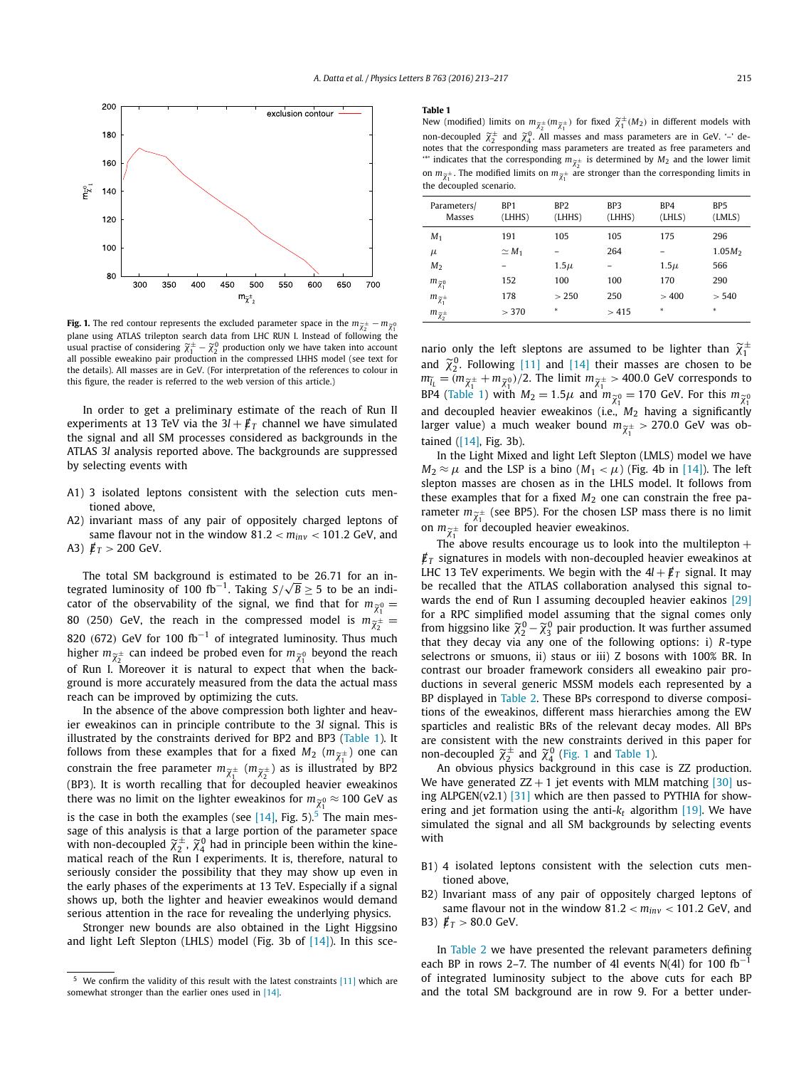<span id="page-2-0"></span>

plane using ATLAS trilepton search data from LHC RUN I. Instead of following the **Fig. 1.** The red contour represents the excluded parameter space in the  $m_{\tilde{\chi}_2^{\pm}} - m_{\tilde{\chi}_1^{0}}$  plane using ATLAS trilepton search data from LHC RUN I. Instead of following the usual practise of considering  $\tilde{\chi}_1$ all possible eweakino pair production in the compressed LHHS model (see text for the details). All masses are in GeV. (For interpretation of the references to colour in this figure, the reader is referred to the web version of this article.)

In order to get a preliminary estimate of the reach of Run II experiments at 13 TeV via the  $3*l* + *l* / *T*$  channel we have simulated the signal and all SM processes considered as backgrounds in the ATLAS 3*l* analysis reported above. The backgrounds are suppressed by selecting events with

- A1) 3 isolated leptons consistent with the selection cuts mentioned above,
- A2) invariant mass of any pair of oppositely charged leptons of same flavour not in the window  $81.2 < m_{inv} < 101.2$  GeV, and A3)  $\cancel{E}_T > 200$  GeV.

The total SM background is estimated to be 26*.*71 for an in-The total SM background is estimated to be 26.71 for an integrated luminosity of 100 fb<sup>-1</sup>. Taking *S*/ $\sqrt{B} \ge 5$  to be an indicator of the observability of the signal, we find that for  $m_{\tilde{\chi}_1^0}$  =  $\frac{0}{1}$ 1 tegrated luminosity of 100 fb<sup>-1</sup>. Taking  $S/\sqrt{B} \ge 5$  to be an i<br>cator of the observability of the signal, we find that for  $m_{\tilde{\lambda}}$ <br>80 (250) GeV, the reach in the compressed model is  $m_{\tilde{\chi}}$  $\frac{1}{2}$  = 820 *(*672*)* GeV for 100 fb−<sup>1</sup> of integrated luminosity. Thus much 80 (250) GeV, the reach in the compressed<br>820 (672) GeV for 100 fb<sup>-1</sup> of integrated lum<br>higher  $m_{\widetilde{\chi}^{\pm}_2}$  can indeed be probed even for  $m_{\widetilde{\chi}}$  $_{2}^{\pm}$  can indeed be probed even for  $m_{\widetilde{\chi}_{1}^{0}}$  beyond the reach of Run I. Moreover it is natural to expect that when the background is more accurately measured from the data the actual mass reach can be improved by optimizing the cuts.

In the absence of the above compression both lighter and heavier eweakinos can in principle contribute to the 3*l* signal. This is illustrated by the constraints derived for BP2 and BP3 (Table 1). It ier eweakinos can in principle contribute to the 3*l* signal. This is<br>illustrated by the constraints derived for BP2 and BP3 (Table 1). It<br>follows from these examples that for a fixed  $M_2$  ( $m_{\tilde{\chi}_1^{\pm}}$ ) one can illustrated by the constraints derived for BP2 and BP3 (Table 1). It<br>follows from these examples that for a fixed  $M_2$  ( $m_{\widetilde{\chi}_1^{\pm}}$ ) one can<br>constrain the free parameter  $m_{\widetilde{\chi}_1^{\pm}}$  ( $m_{\widetilde{\chi}_2^{\pm}}$ ) as is ill (BP3). It is worth recalling that for decoupled heavier eweakinos constrain the free parameter  $m_{\widetilde{\chi}_1^{\pm}}$  ( $m_{\widetilde{\chi}_2^{\pm}}$ ) as is illustrated by BP2<br>(BP3). It is worth recalling that for decoupled heavier eweakinos<br>there was no limit on the lighter eweakinos for  $m_{\widetilde{\chi}_1^0} \approx$ is the case in both the examples (see  $[14]$ , Fig. 5).<sup>5</sup> The main message of this analysis is that a large portion of the parameter space there was no limit on the l<br>is the case in both the exan<br>sage of this analysis is that<br>with non-decoupled  $\widetilde{\chi}^{\pm}_2$ ,  $\widetilde{\chi}$ ,  $_2^\pm$ ,  $\widetilde{\chi}^0_4$  had in principle been within the kinematical reach of the Run I experiments. It is, therefore, natural to seriously consider the possibility that they may show up even in the early phases of the experiments at 13 TeV. Especially if a signal shows up, both the lighter and heavier eweakinos would demand serious attention in the race for revealing the underlying physics.

Stronger new bounds are also obtained in the Light Higgsino and light Left Slepton (LHLS) model (Fig. 3b of  $[14]$ ). In this sce-

### **Table 1**

**Table 1**<br>
New (modified) limits on  $m_{\tilde{\chi}_2^{\pm}}(m_{\tilde{\chi}_1^{\pm}})$  for fixed  $\tilde{\chi}_1^{\pm}(M_2)$  in different models with 2 ^ 1 **Table 1**<br>
New (modified) limits on  $m_{\tilde{\chi}_2^{\pm}}(m_{\tilde{\chi}_1^{\pm}})$  for fixed  $\tilde{\chi}_1^{\pm}(M_2)$  in different models with<br>
non-decoupled  $\tilde{\chi}_2^{\pm}$  and  $\tilde{\chi}_4^0$ . All masses and mass parameters are in GeV. '–' de-<br>
not non-decoupled  $\widetilde{\chi}_2^{\pm}$  and  $\widetilde{\chi}_4^0$ . All masses and mass parameters are in GeV. '-' denotes that the corresponding mass parameters are treated as free parameters and  $\widetilde{\chi}_2^{\pm}$  is determined by  $M_2$  and the notes that the corresponding mass<br>
"' indicates that the corresponding<br>
on  $m_{\widetilde{\chi}_1^{\pm}}$ . The modified limits on  $m_{\widetilde{\chi}}$  $\pm$ . The modified limits on  $m_{\widetilde{\chi}^{\pm}_1}$  are stronger than the corresponding limits in the decoupled scenario.

| Parameters/<br>Masses                                                                  | BP <sub>1</sub><br>(LHHS) | BP <sub>2</sub><br>(LHHS) | BP3<br>(LHHS) | BP4<br>(LHLS) | BP5<br>(LMLS) |
|----------------------------------------------------------------------------------------|---------------------------|---------------------------|---------------|---------------|---------------|
| $M_1$                                                                                  | 191                       | 105                       | 105           | 175           | 296           |
| $\mu$                                                                                  | $\simeq M_1$              |                           | 264           |               | $1.05M_2$     |
| M <sub>2</sub>                                                                         |                           | $1.5\mu$                  |               | $1.5\mu$      | 566           |
| $m_{\widetilde{\chi}_1^0}$                                                             | 152                       | 100                       | 100           | 170           | 290           |
| $m_{\widetilde{\chi}_1^\pm}$                                                           | 178                       | > 250                     | 250           | >400          | > 540         |
| $m_{\widetilde{\chi}_2^\pm}$                                                           | > 370                     | *                         | >415          | $\ast$        | $\ast$        |
|                                                                                        |                           |                           |               |               |               |
| nario only the left sleptons are assumed to be lighter than $\widetilde{\chi}_1^{\pm}$ |                           |                           |               |               |               |

 $\frac{m_{\tilde{\chi}_2^2}}{2}$  . Following [\[11\]](#page-4-0) and [\[14\]](#page-4-0) their masses are chosen to be lighter than  $\tilde{\chi}_1^2$  and  $\tilde{\chi}_2^0$ . Following [11] and [14] their masses are chosen to be *m*ario only the left sleptons are assumed to be lighter than  $\tilde{\chi}_1^{\pm}$ <br> *i*d  $\tilde{\chi}_2^0$ . Following [11] and [14] their masses are chosen to be<br>  $\tilde{\chi}_L = (m_{\tilde{\chi}_1^{\pm}} + m_{\tilde{\chi}_1^{\pm}})/2$ . The limit  $m_{\tilde{\chi}_1^{\pm}} > 400.0$ and  $\chi_2^0$ . Following [11] and [14] their masses are chosen to b<br>  $m_{\tilde{l}_L} = (m_{\tilde{\chi}_1^{\pm}} + m_{\tilde{\chi}_1^0})/2$ . The limit  $m_{\tilde{\chi}_1^{\pm}} > 400.0$  GeV corresponds t<br>
BP4 (Table 1) with  $M_2 = 1.5\mu$  and  $m_{\tilde{\chi}_1^0} = 170$  Ge  $\chi_0^0$  = 170 Gev. For this  $m_{\widetilde{\chi}_1^0}$ and decoupled heavier eweakinos (i.e., *M*<sup>2</sup> having a significantly BP4 (Table 1) with  $M_2 = 1.5\mu$  and  $m_{\tilde{\chi}_1^0} = 170$  GeV. For this  $m_{\tilde{\chi}_1^0}$ <br>and decoupled heavier eweakinos (i.e.,  $M_2$  having a significantly<br>larger value) a much weaker bound  $m_{\tilde{\chi}_1^\pm} > 270.0$  GeV was obtained [\(\[14\],](#page-4-0) Fig. 3b).

In the Light Mixed and light Left Slepton (LMLS) model we have  $M_2 \approx \mu$  and the LSP is a bino  $(M_1 < \mu)$  (Fig. 4b in [\[14\]\)](#page-4-0). The left slepton masses are chosen as in the LHLS model. It follows from these examples that for a fixed  $M_2$  one can constrain the free paslepton masses are chosen as in the LHLS model. It follows from<br>these examples that for a fixed  $M_2$  one can constrain the free pa-<br>rameter  $m_{\tilde{\chi}_1^{\pm}}$  (see BP5). For the chosen LSP mass there is no limit these examples that for a fixed  $M_2$  one c<br>rameter  $m_{\tilde{\chi}^{\pm}_1}$  (see BP5). For the chosen L.<br>on  $m_{\tilde{\chi}^{\pm}_1}$  for decoupled heavier eweakinos.

The above results encourage us to look into the multilepton  $+$  $\not\!{E}_T$  signatures in models with non-decoupled heavier eweakinos at LHC 13 TeV experiments. We begin with the  $4l + \cancel{E}_T$  signal. It may be recalled that the ATLAS collaboration analysed this signal towards the end of Run I assuming decoupled heavier eakinos [\[29\]](#page-4-0) for a RPC simplified model assuming that the signal comes only be recalled that the ATLAS collaboration analysed this signal to-<br>wards the end of Run I assuming decoupled heavier eakinos [29]<br>for a RPC simplified model assuming that the signal comes only<br>from higgsino like  $\widetilde{\chi}_2^$ that they decay via any one of the following options: i) *R*-type selectrons or smuons, ii) staus or iii) Z bosons with 100% BR. In contrast our broader framework considers all eweakino pair productions in several generic MSSM models each represented by a BP displayed in [Table 2.](#page-3-0) These BPs correspond to diverse compositions of the eweakinos, different mass hierarchies among the EW sparticles and realistic BRs of the relevant decay modes. All BPs are consistent with the new constraints derived in this paper for tions of the eweakinos, different mass hierarch<br>sparticles and realistic BRs of the relevant dee<br>are consistent with the new constraints derive<br>non-decoupled  $\widetilde{\chi}_2^{\pm}$  and  $\widetilde{\chi}_4^0$  (Fig. 1 and Table 1).

An obvious physics background in this case is ZZ production. We have generated  $ZZ + 1$  jet events with MLM matching [\[30\]](#page-4-0) using ALPGEN(v2.1)  $[31]$  which are then passed to PYTHIA for showering and jet formation using the anti- $k_t$  algorithm [\[19\].](#page-4-0) We have simulated the signal and all SM backgrounds by selecting events with

- B1) 4 isolated leptons consistent with the selection cuts mentioned above,
- B2) Invariant mass of any pair of oppositely charged leptons of same flavour not in the window  $81.2 < m_{inv} < 101.2$  GeV, and
- B3)  $/\,\llap E_T > 80.0 \, \text{GeV}.$

In [Table 2](#page-3-0) we have presented the relevant parameters defining each BP in rows 2–7. The number of 4l events N(4l) for 100 fb<sup>-1</sup> of integrated luminosity subject to the above cuts for each BP and the total SM background are in row 9. For a better under-

We confirm the validity of this result with the latest constraints  $[11]$  which are somewhat stronger than the earlier ones used in [\[14\].](#page-4-0)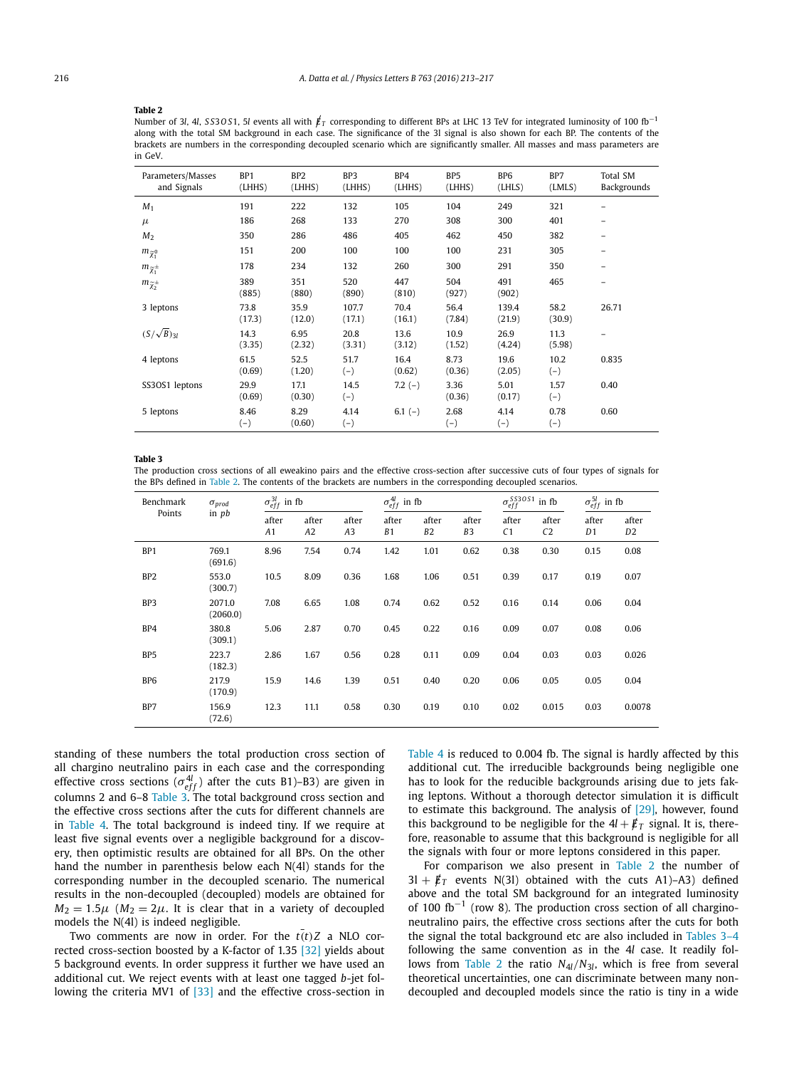#### <span id="page-3-0"></span>**Table 2**

Number of 3*l*, 4*l*, *SS30 S1*, 5*l* events all with  $\not{E_T}$  corresponding to different BPs at LHC 13 TeV for integrated luminosity of 100 fb<sup>-1</sup> along with the total SM background in each case. The significance of the 3l signal is also shown for each BP. The contents of the brackets are numbers in the corresponding decoupled scenario which are significantly smaller. All masses and mass parameters are in GeV.

| Parameters/Masses<br>and Signals | BP <sub>1</sub><br>(LHHS) | BP <sub>2</sub><br>(LHHS) | BP3<br>(LHHS)   | BP4<br>(LHHS)  | BP <sub>5</sub><br>(LHHS) | B <sub>P6</sub><br>(LHLS) | BP7<br>(LMLS)  | Total SM<br>Backgrounds |
|----------------------------------|---------------------------|---------------------------|-----------------|----------------|---------------------------|---------------------------|----------------|-------------------------|
| $M_1$                            | 191                       | 222                       | 132             | 105            | 104                       | 249                       | 321            |                         |
| $\mu$                            | 186                       | 268                       | 133             | 270            | 308                       | 300                       | 401            | -                       |
| M <sub>2</sub>                   | 350                       | 286                       | 486             | 405            | 462                       | 450                       | 382            | -                       |
| $m_{\widetilde{\chi}_1^0}$       | 151                       | 200                       | 100             | 100            | 100                       | 231                       | 305            |                         |
| $m_{\widetilde{\chi}_1^\pm}$     | 178                       | 234                       | 132             | 260            | 300                       | 291                       | 350            |                         |
| $m_{\widetilde{\chi}_2^{\pm}}$   | 389<br>(885)              | 351<br>(880)              | 520<br>(890)    | 447<br>(810)   | 504<br>(927)              | 491<br>(902)              | 465            | -                       |
| 3 leptons                        | 73.8<br>(17.3)            | 35.9<br>(12.0)            | 107.7<br>(17.1) | 70.4<br>(16.1) | 56.4<br>(7.84)            | 139.4<br>(21.9)           | 58.2<br>(30.9) | 26.71                   |
| $(S/\sqrt{B})_{31}$              | 14.3<br>(3.35)            | 6.95<br>(2.32)            | 20.8<br>(3.31)  | 13.6<br>(3.12) | 10.9<br>(1.52)            | 26.9<br>(4.24)            | 11.3<br>(5.98) |                         |
| 4 leptons                        | 61.5<br>(0.69)            | 52.5<br>(1.20)            | 51.7<br>$(-)$   | 16.4<br>(0.62) | 8.73<br>(0.36)            | 19.6<br>(2.05)            | 10.2<br>$(-)$  | 0.835                   |
| SS3OS1 leptons                   | 29.9<br>(0.69)            | 17.1<br>(0.30)            | 14.5<br>$(-)$   | $7.2(-)$       | 3.36<br>(0.36)            | 5.01<br>(0.17)            | 1.57<br>$(-)$  | 0.40                    |
| 5 leptons                        | 8.46<br>$(-)$             | 8.29<br>(0.60)            | 4.14<br>$(-)$   | $6.1(-)$       | 2.68<br>$(-)$             | 4.14<br>$(-)$             | 0.78<br>$(-)$  | 0.60                    |

#### **Table 3**

The production cross sections of all eweakino pairs and the effective cross-section after successive cuts of four types of signals for the BPs defined in Table 2. The contents of the brackets are numbers in the corresponding decoupled scenarios.

| Benchmark<br>Points | $\sigma_{prod}$<br>in $pb$ | $\sigma_{eff}^{3l}$ in fb |                         |             | $\sigma_{eff}^{4l}$ in fb |                         |                         | $\sigma_{eff}^{SS30S1}$ in fb<br>'eff |                         | $\sigma_{eff}^{5l}$ in fb |                         |
|---------------------|----------------------------|---------------------------|-------------------------|-------------|---------------------------|-------------------------|-------------------------|---------------------------------------|-------------------------|---------------------------|-------------------------|
|                     |                            | after<br>A1               | after<br>A <sub>2</sub> | after<br>A3 | after<br>B1               | after<br>B <sub>2</sub> | after<br>B <sub>3</sub> | after<br>C <sub>1</sub>               | after<br>C <sub>2</sub> | after<br>D1               | after<br>D <sub>2</sub> |
| BP <sub>1</sub>     | 769.1<br>(691.6)           | 8.96                      | 7.54                    | 0.74        | 1.42                      | 1.01                    | 0.62                    | 0.38                                  | 0.30                    | 0.15                      | 0.08                    |
| BP <sub>2</sub>     | 553.0<br>(300.7)           | 10.5                      | 8.09                    | 0.36        | 1.68                      | 1.06                    | 0.51                    | 0.39                                  | 0.17                    | 0.19                      | 0.07                    |
| BP3                 | 2071.0<br>(2060.0)         | 7.08                      | 6.65                    | 1.08        | 0.74                      | 0.62                    | 0.52                    | 0.16                                  | 0.14                    | 0.06                      | 0.04                    |
| BP4                 | 380.8<br>(309.1)           | 5.06                      | 2.87                    | 0.70        | 0.45                      | 0.22                    | 0.16                    | 0.09                                  | 0.07                    | 0.08                      | 0.06                    |
| BP <sub>5</sub>     | 223.7<br>(182.3)           | 2.86                      | 1.67                    | 0.56        | 0.28                      | 0.11                    | 0.09                    | 0.04                                  | 0.03                    | 0.03                      | 0.026                   |
| BP <sub>6</sub>     | 217.9<br>(170.9)           | 15.9                      | 14.6                    | 1.39        | 0.51                      | 0.40                    | 0.20                    | 0.06                                  | 0.05                    | 0.05                      | 0.04                    |
| BP7                 | 156.9<br>(72.6)            | 12.3                      | 11.1                    | 0.58        | 0.30                      | 0.19                    | 0.10                    | 0.02                                  | 0.015                   | 0.03                      | 0.0078                  |

standing of these numbers the total production cross section of all chargino neutralino pairs in each case and the corresponding effective cross sections ( $\sigma_{eff}^{4l}$ ) after the cuts B1)–B3) are given in columns 2 and 6–8 Table 3. The total background cross section and the effective cross sections after the cuts for different channels are in [Table 4.](#page-4-0) The total background is indeed tiny. If we require at least five signal events over a negligible background for a discovery, then optimistic results are obtained for all BPs. On the other hand the number in parenthesis below each N(4l) stands for the corresponding number in the decoupled scenario. The numerical results in the non-decoupled (decoupled) models are obtained for  $M_2 = 1.5\mu$  ( $M_2 = 2\mu$ . It is clear that in a variety of decoupled models the N(4l) is indeed negligible.

Two comments are now in order. For the  $t(t)Z$  a NLO cor-rected cross-section boosted by a K-factor of 1.35 [\[32\]](#page-4-0) yields about 5 background events. In order suppress it further we have used an additional cut. We reject events with at least one tagged *b*-jet following the criteria MV1 of [\[33\]](#page-4-0) and the effective cross-section in

[Table 4](#page-4-0) is reduced to 0.004 fb. The signal is hardly affected by this additional cut. The irreducible backgrounds being negligible one has to look for the reducible backgrounds arising due to jets faking leptons. Without a thorough detector simulation it is difficult to estimate this background. The analysis of [\[29\],](#page-4-0) however, found this background to be negligible for the  $4l + \cancel{E}_T$  signal. It is, therefore, reasonable to assume that this background is negligible for all the signals with four or more leptons considered in this paper.

For comparison we also present in Table 2 the number of  $3l + \cancel{E}_T$  events N(3l) obtained with the cuts A1)-A3) defined above and the total SM background for an integrated luminosity of 100 fb<sup>-1</sup> (row 8). The production cross section of all charginoneutralino pairs, the effective cross sections after the cuts for both the signal the total background etc are also included in Tables 3–4 following the same convention as in the 4*l* case. It readily follows from Table 2 the ratio  $N_{4}/N_{3}$ , which is free from several theoretical uncertainties, one can discriminate between many nondecoupled and decoupled models since the ratio is tiny in a wide